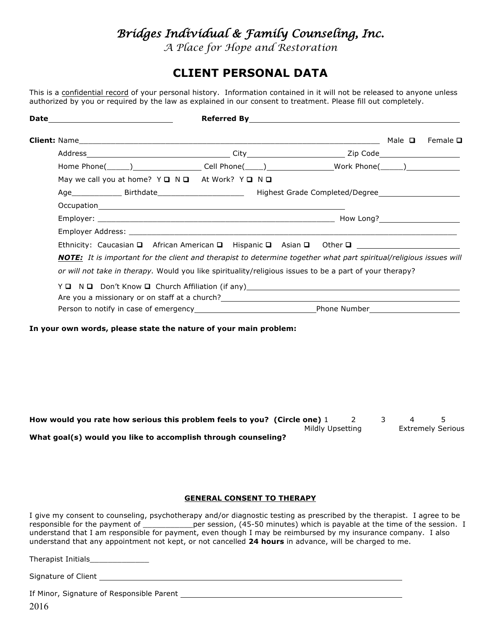# *Bridges Individual & Family Counseling, Inc.*

*A Place for Hope and Restoration*

## **CLIENT PERSONAL DATA**

This is a confidential record of your personal history. Information contained in it will not be released to anyone unless authorized by you or required by the law as explained in our consent to treatment. Please fill out completely.

|                                                                                           | Male $\Box$ | Female $\Box$                                                                                                                                                                                                                                                                                                                                                                                                                                       |
|-------------------------------------------------------------------------------------------|-------------|-----------------------------------------------------------------------------------------------------------------------------------------------------------------------------------------------------------------------------------------------------------------------------------------------------------------------------------------------------------------------------------------------------------------------------------------------------|
|                                                                                           |             |                                                                                                                                                                                                                                                                                                                                                                                                                                                     |
|                                                                                           |             |                                                                                                                                                                                                                                                                                                                                                                                                                                                     |
|                                                                                           |             |                                                                                                                                                                                                                                                                                                                                                                                                                                                     |
|                                                                                           |             |                                                                                                                                                                                                                                                                                                                                                                                                                                                     |
|                                                                                           |             |                                                                                                                                                                                                                                                                                                                                                                                                                                                     |
|                                                                                           |             |                                                                                                                                                                                                                                                                                                                                                                                                                                                     |
|                                                                                           |             |                                                                                                                                                                                                                                                                                                                                                                                                                                                     |
|                                                                                           |             |                                                                                                                                                                                                                                                                                                                                                                                                                                                     |
|                                                                                           |             |                                                                                                                                                                                                                                                                                                                                                                                                                                                     |
|                                                                                           |             |                                                                                                                                                                                                                                                                                                                                                                                                                                                     |
|                                                                                           |             |                                                                                                                                                                                                                                                                                                                                                                                                                                                     |
|                                                                                           |             |                                                                                                                                                                                                                                                                                                                                                                                                                                                     |
|                                                                                           |             |                                                                                                                                                                                                                                                                                                                                                                                                                                                     |
| May we call you at home? $Y \square \square \square$ At Work? $Y \square \square \square$ |             | Home Phone(______)___________________Cell Phone(_____)________________Work Phone(______)____________<br>Ethnicity: Caucasian □ African American □ Hispanic □ Asian □ Other □ ______________________________<br><b>NOTE:</b> It is important for the client and therapist to determine together what part spiritual/religious issues will<br>or will not take in therapy. Would you like spirituality/religious issues to be a part of your therapy? |

**In your own words, please state the nature of your main problem:**

**How would you rate how serious this problem feels to you? (Circle one)** 1 2 3 4 5 Mildly Upsetting Extremely Serious **What goal(s) would you like to accomplish through counseling?**

#### **GENERAL CONSENT TO THERAPY**

I give my consent to counseling, psychotherapy and/or diagnostic testing as prescribed by the therapist. I agree to be responsible for the payment of \_\_\_\_\_\_\_\_\_\_\_\_\_per session, (45-50 minutes) which is payable at the time of the session. I understand that I am responsible for payment, even though I may be reimbursed by my insurance company. I also understand that any appointment not kept, or not cancelled **24 hours** in advance, will be charged to me.

| Therapist Initials |  |  |
|--------------------|--|--|
|--------------------|--|--|

Signature of Client \_\_\_\_\_

If Minor, Signature of Responsible Parent

2016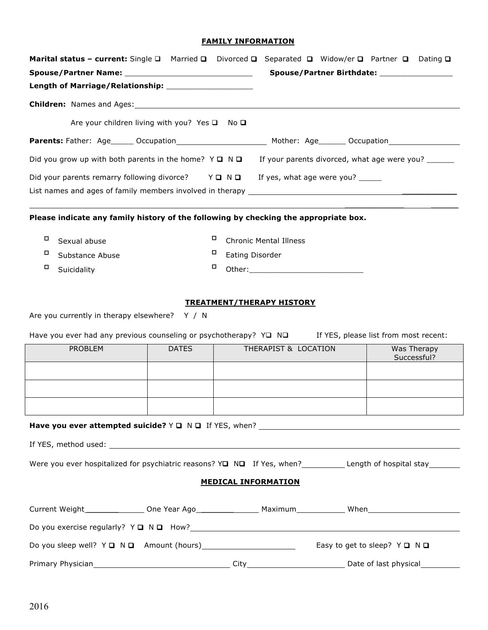### **FAMILY INFORMATION**

| Marital status - current: Single □ Married □ Divorced □ Separated □ Widow/er □ Partner □ Dating □                                                                                                                              |              |                               | Spouse/Partner Birthdate: _________________ |                            |
|--------------------------------------------------------------------------------------------------------------------------------------------------------------------------------------------------------------------------------|--------------|-------------------------------|---------------------------------------------|----------------------------|
|                                                                                                                                                                                                                                |              |                               |                                             |                            |
| Are your children living with you? Yes $\square$ No $\square$                                                                                                                                                                  |              |                               |                                             |                            |
| Parents: Father: Age _____ Occupation _______________________ Mother: Age ______ Occupation _________________                                                                                                                  |              |                               |                                             |                            |
| Did you grow up with both parents in the home? $Y \Box \Box \Box$ If your parents divorced, what age were you?                                                                                                                 |              |                               |                                             |                            |
| Did your parents remarry following divorce? $Y \square N \square$ If yes, what age were you?                                                                                                                                   |              |                               |                                             |                            |
|                                                                                                                                                                                                                                |              |                               |                                             |                            |
| Please indicate any family history of the following by checking the appropriate box.                                                                                                                                           |              |                               |                                             |                            |
| о<br>Sexual abuse                                                                                                                                                                                                              | о            | <b>Chronic Mental Illness</b> |                                             |                            |
| o<br>Substance Abuse                                                                                                                                                                                                           | o            | Eating Disorder               |                                             |                            |
| o<br>Suicidality                                                                                                                                                                                                               | о            |                               |                                             |                            |
| Are you currently in therapy elsewhere? Y / N<br>Have you ever had any previous counseling or psychotherapy? $Y\Box \quad N\Box$<br>If YES, please list from most recent:                                                      |              |                               |                                             |                            |
| <b>PROBLEM</b>                                                                                                                                                                                                                 | <b>DATES</b> | THERAPIST & LOCATION          |                                             | Was Therapy<br>Successful? |
|                                                                                                                                                                                                                                |              |                               |                                             |                            |
|                                                                                                                                                                                                                                |              |                               |                                             |                            |
|                                                                                                                                                                                                                                |              |                               |                                             |                            |
| Have you ever attempted suicide? $Y \square \square \square$ If YES, when?                                                                                                                                                     |              |                               |                                             |                            |
|                                                                                                                                                                                                                                |              |                               |                                             |                            |
|                                                                                                                                                                                                                                |              |                               |                                             |                            |
| <b>MEDICAL INFORMATION</b>                                                                                                                                                                                                     |              |                               |                                             |                            |
|                                                                                                                                                                                                                                |              |                               |                                             |                            |
|                                                                                                                                                                                                                                |              |                               |                                             |                            |
|                                                                                                                                                                                                                                |              |                               | Easy to get to sleep? $Y \square N \square$ |                            |
| Primary Physician 2010 City Communication (Physical City City Communication City Communication City Communication City Communication (Physical City Communication City Communication City Communication City Communication Cit |              |                               |                                             |                            |